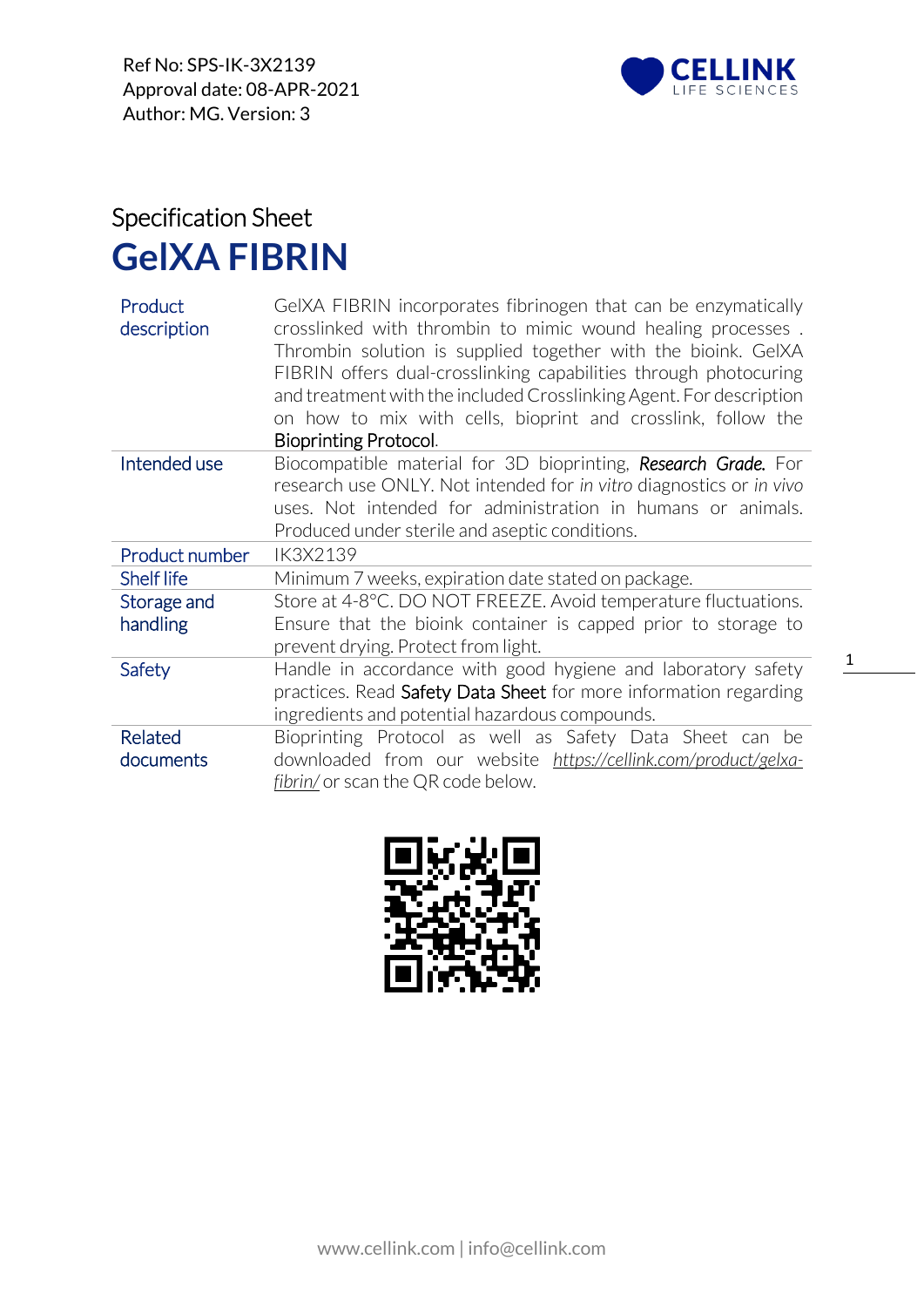

## Specification Sheet **GelXA FIBRIN**

| Product<br>description | GeIXA FIBRIN incorporates fibrinogen that can be enzymatically<br>crosslinked with thrombin to mimic wound healing processes.<br>Thrombin solution is supplied together with the bioink. GeIXA<br>FIBRIN offers dual-crosslinking capabilities through photocuring<br>and treatment with the included Crosslinking Agent. For description<br>on how to mix with cells, bioprint and crosslink, follow the<br>Bioprinting Protocol. |
|------------------------|------------------------------------------------------------------------------------------------------------------------------------------------------------------------------------------------------------------------------------------------------------------------------------------------------------------------------------------------------------------------------------------------------------------------------------|
| Intended use           | Biocompatible material for 3D bioprinting, Research Grade. For<br>research use ONLY. Not intended for in vitro diagnostics or in vivo                                                                                                                                                                                                                                                                                              |
|                        | uses. Not intended for administration in humans or animals.                                                                                                                                                                                                                                                                                                                                                                        |
|                        | Produced under sterile and aseptic conditions.                                                                                                                                                                                                                                                                                                                                                                                     |
| Product number         | IK3X2139                                                                                                                                                                                                                                                                                                                                                                                                                           |
|                        |                                                                                                                                                                                                                                                                                                                                                                                                                                    |
| <b>Shelf life</b>      | Minimum 7 weeks, expiration date stated on package.                                                                                                                                                                                                                                                                                                                                                                                |
| Storage and            | Store at 4-8°C. DO NOT FREEZE. Avoid temperature fluctuations.                                                                                                                                                                                                                                                                                                                                                                     |
| handling               | Ensure that the bioink container is capped prior to storage to                                                                                                                                                                                                                                                                                                                                                                     |
|                        | prevent drying. Protect from light.                                                                                                                                                                                                                                                                                                                                                                                                |
| Safety                 | Handle in accordance with good hygiene and laboratory safety                                                                                                                                                                                                                                                                                                                                                                       |
|                        | practices. Read Safety Data Sheet for more information regarding                                                                                                                                                                                                                                                                                                                                                                   |
|                        | ingredients and potential hazardous compounds.                                                                                                                                                                                                                                                                                                                                                                                     |
| <b>Related</b>         | Bioprinting Protocol as well as Safety Data Sheet can be                                                                                                                                                                                                                                                                                                                                                                           |
| documents              | downloaded from our website https://cellink.com/product/gelxa-                                                                                                                                                                                                                                                                                                                                                                     |